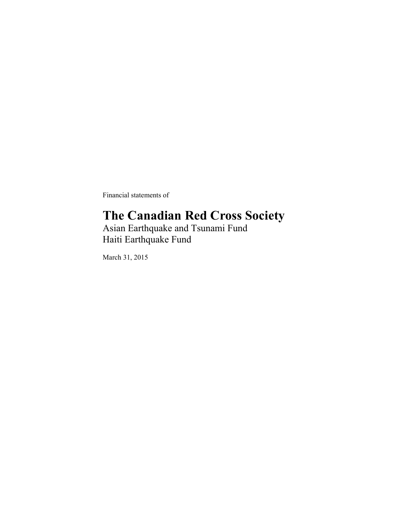Financial statements of

### **The Canadian Red Cross Society**

Asian Earthquake and Tsunami Fund Haiti Earthquake Fund

March 31, 2015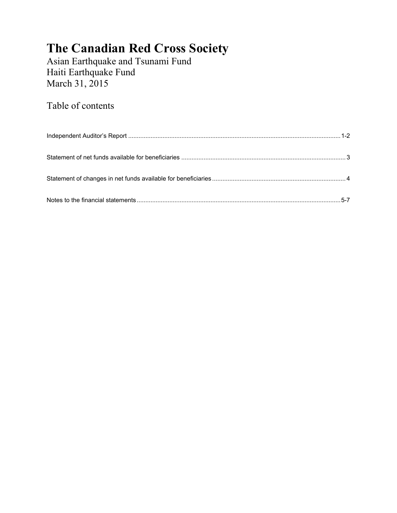Asian Earthquake and Tsunami Fund Haiti Earthquake Fund March 31, 2015

Table of contents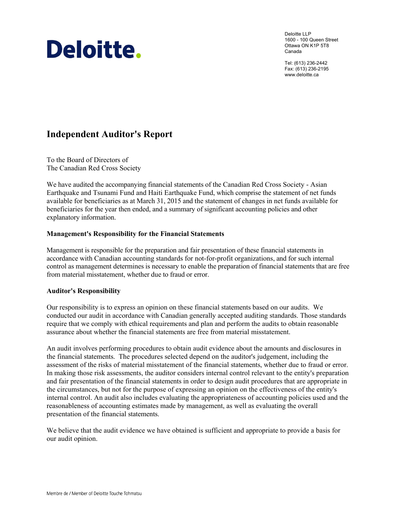# Deloitte.

Deloitte LLP 1600 - 100 Queen Street Ottawa ON K1P 5T8 Canada

Tel: (613) 236-2442 Fax: (613) 236-2195 www.deloitte.ca

### **Independent Auditor's Report**

To the Board of Directors of The Canadian Red Cross Society

We have audited the accompanying financial statements of the Canadian Red Cross Society - Asian Earthquake and Tsunami Fund and Haiti Earthquake Fund, which comprise the statement of net funds available for beneficiaries as at March 31, 2015 and the statement of changes in net funds available for beneficiaries for the year then ended, and a summary of significant accounting policies and other explanatory information.

#### **Management's Responsibility for the Financial Statements**

Management is responsible for the preparation and fair presentation of these financial statements in accordance with Canadian accounting standards for not-for-profit organizations, and for such internal control as management determines is necessary to enable the preparation of financial statements that are free from material misstatement, whether due to fraud or error.

#### **Auditor's Responsibility**

Our responsibility is to express an opinion on these financial statements based on our audits. We conducted our audit in accordance with Canadian generally accepted auditing standards. Those standards require that we comply with ethical requirements and plan and perform the audits to obtain reasonable assurance about whether the financial statements are free from material misstatement.

An audit involves performing procedures to obtain audit evidence about the amounts and disclosures in the financial statements. The procedures selected depend on the auditor's judgement, including the assessment of the risks of material misstatement of the financial statements, whether due to fraud or error. In making those risk assessments, the auditor considers internal control relevant to the entity's preparation and fair presentation of the financial statements in order to design audit procedures that are appropriate in the circumstances, but not for the purpose of expressing an opinion on the effectiveness of the entity's internal control. An audit also includes evaluating the appropriateness of accounting policies used and the reasonableness of accounting estimates made by management, as well as evaluating the overall presentation of the financial statements.

We believe that the audit evidence we have obtained is sufficient and appropriate to provide a basis for our audit opinion.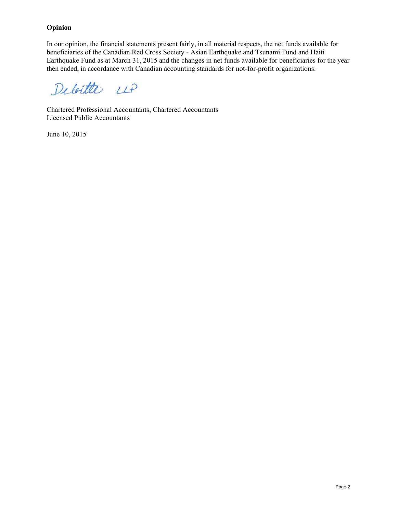#### **Opinion**

In our opinion, the financial statements present fairly, in all material respects, the net funds available for beneficiaries of the Canadian Red Cross Society - Asian Earthquake and Tsunami Fund and Haiti Earthquake Fund as at March 31, 2015 and the changes in net funds available for beneficiaries for the year then ended, in accordance with Canadian accounting standards for not-for-profit organizations.

Deleitte LLP

Chartered Professional Accountants, Chartered Accountants Licensed Public Accountants

June 10, 2015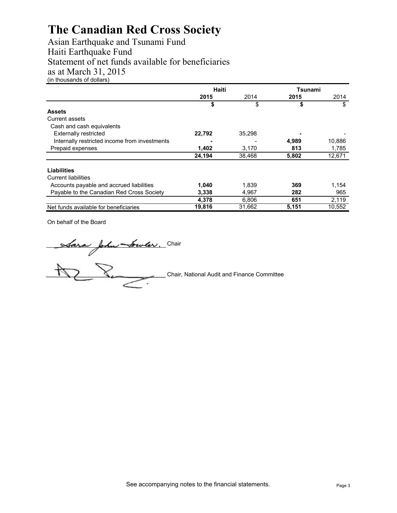Asian Earthquake and Tsunami Fund Haiti Earthquake Fund Statement of net funds available for beneficiaries as at March 31, 2015 (in thousands of dollars)

|                                               | <b>Haiti</b> |        | Tsunami |        |
|-----------------------------------------------|--------------|--------|---------|--------|
|                                               | 2015         | 2014   | 2015    | 2014   |
|                                               | \$           | \$     | \$      | \$     |
| <b>Assets</b>                                 |              |        |         |        |
| Current assets                                |              |        |         |        |
| Cash and cash equivalents                     |              |        |         |        |
| <b>Externally restricted</b>                  | 22,792       | 35,298 |         |        |
| Internally restricted income from investments |              |        | 4,989   | 10,886 |
| Prepaid expenses                              | 1,402        | 3.170  | 813     | 1,785  |
|                                               | 24,194       | 38,468 | 5,802   | 12,671 |
| Liabilities                                   |              |        |         |        |
| <b>Current liabilities</b>                    |              |        |         |        |
| Accounts payable and accrued liabilities      | 1,040        | 1,839  | 369     | 1,154  |
| Payable to the Canadian Red Cross Society     | 3,338        | 4,967  | 282     | 965    |
|                                               | 4,378        | 6,806  | 651     | 2,119  |
| Net funds available for beneficiaries         | 19,816       | 31,662 | 5,151   | 10,552 |

On behalf of the Board

Chair

Chair, National Audit and Finance Committee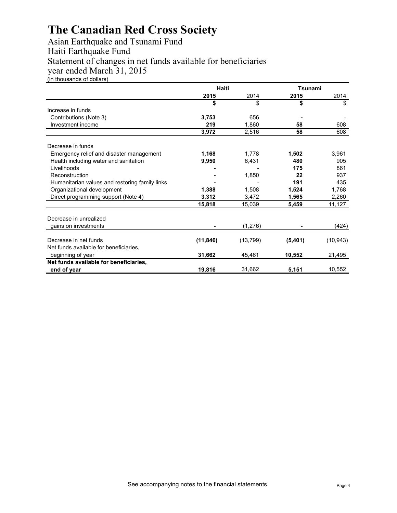Asian Earthquake and Tsunami Fund Haiti Earthquake Fund Statement of changes in net funds available for beneficiaries year ended March 31, 2015 (in thousands of dollars)

|                                                | Haiti     |           | <b>Tsunami</b> |           |
|------------------------------------------------|-----------|-----------|----------------|-----------|
|                                                | 2015      | 2014      | 2015           | 2014      |
|                                                | \$        | \$        | \$             | \$        |
| Increase in funds                              |           |           |                |           |
| Contributions (Note 3)                         | 3,753     | 656       |                |           |
| Investment income                              | 219       | 1.860     | 58             | 608       |
|                                                | 3,972     | 2,516     | 58             | 608       |
| Decrease in funds                              |           |           |                |           |
| Emergency relief and disaster management       | 1,168     | 1,778     | 1,502          | 3,961     |
| Health including water and sanitation          | 9,950     | 6,431     | 480            | 905       |
| Livelihoods                                    |           |           | 175            | 861       |
| Reconstruction                                 |           | 1,850     | 22             | 937       |
| Humanitarian values and restoring family links |           |           | 191            | 435       |
| Organizational development                     | 1,388     | 1,508     | 1,524          | 1,768     |
| Direct programming support (Note 4)            | 3,312     | 3,472     | 1,565          | 2,260     |
|                                                | 15,818    | 15,039    | 5,459          | 11,127    |
| Decrease in unrealized                         |           |           |                |           |
| gains on investments                           |           | (1,276)   |                | (424)     |
| Decrease in net funds                          | (11, 846) | (13, 799) | (5,401)        | (10, 943) |
| Net funds available for beneficiaries,         |           |           |                |           |
| beginning of year                              | 31,662    | 45,461    | 10,552         | 21,495    |
| Net funds available for beneficiaries,         |           |           |                |           |
| end of year                                    | 19,816    | 31,662    | 5,151          | 10,552    |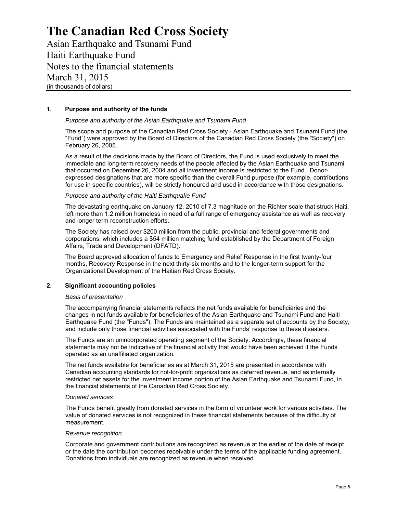Asian Earthquake and Tsunami Fund Haiti Earthquake Fund Notes to the financial statements March 31, 2015 (in thousands of dollars)

#### **1. Purpose and authority of the funds**

#### *Purpose and authority of the Asian Earthquake and Tsunami Fund*

The scope and purpose of the Canadian Red Cross Society - Asian Earthquake and Tsunami Fund (the "Fund") were approved by the Board of Directors of the Canadian Red Cross Society (the "Society") on February 26, 2005.

As a result of the decisions made by the Board of Directors, the Fund is used exclusively to meet the immediate and long-term recovery needs of the people affected by the Asian Earthquake and Tsunami that occurred on December 26, 2004 and all investment income is restricted to the Fund. Donorexpressed designations that are more specific than the overall Fund purpose (for example, contributions for use in specific countries), will be strictly honoured and used in accordance with those designations.

#### *Purpose and authority of the Haiti Earthquake Fund*

The devastating earthquake on January 12, 2010 of 7.3 magnitude on the Richter scale that struck Haiti, left more than 1.2 million homeless in need of a full range of emergency assistance as well as recovery and longer term reconstruction efforts.

The Society has raised over \$200 million from the public, provincial and federal governments and corporations, which includes a \$54 million matching fund established by the Department of Foreign Affairs, Trade and Development (DFATD).

The Board approved allocation of funds to Emergency and Relief Response in the first twenty-four months, Recovery Response in the next thirty-six months and to the longer-term support for the Organizational Development of the Haitian Red Cross Society.

#### **2. Significant accounting policies**

#### *Basis of presentation*

The accompanying financial statements reflects the net funds available for beneficiaries and the changes in net funds available for beneficiaries of the Asian Earthquake and Tsunami Fund and Haiti Earthquake Fund (the "Funds"). The Funds are maintained as a separate set of accounts by the Society, and include only those financial activities associated with the Funds' response to these disasters.

The Funds are an unincorporated operating segment of the Society. Accordingly, these financial statements may not be indicative of the financial activity that would have been achieved if the Funds operated as an unaffiliated organization.

The net funds available for beneficiaries as at March 31, 2015 are presented in accordance with Canadian accounting standards for not-for-profit organizations as deferred revenue, and as internally restricted net assets for the investment income portion of the Asian Earthquake and Tsunami Fund, in the financial statements of the Canadian Red Cross Society.

#### *Donated services*

The Funds benefit greatly from donated services in the form of volunteer work for various activities. The value of donated services is not recognized in these financial statements because of the difficulty of measurement.

#### *Revenue recognition*

Corporate and government contributions are recognized as revenue at the earlier of the date of receipt or the date the contribution becomes receivable under the terms of the applicable funding agreement. Donations from individuals are recognized as revenue when received.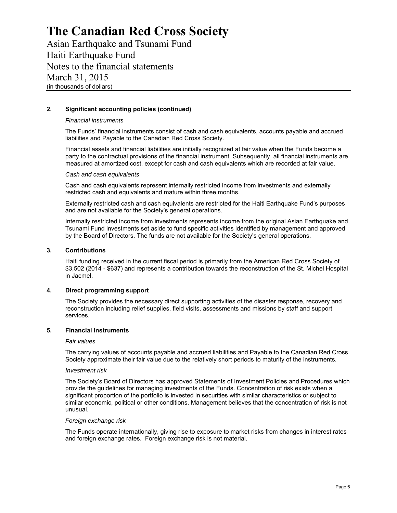Asian Earthquake and Tsunami Fund Haiti Earthquake Fund Notes to the financial statements March 31, 2015 (in thousands of dollars)

#### **2. Significant accounting policies (continued)**

#### *Financial instruments*

The Funds' financial instruments consist of cash and cash equivalents, accounts payable and accrued liabilities and Payable to the Canadian Red Cross Society.

Financial assets and financial liabilities are initially recognized at fair value when the Funds become a party to the contractual provisions of the financial instrument. Subsequently, all financial instruments are measured at amortized cost, except for cash and cash equivalents which are recorded at fair value.

#### *Cash and cash equivalents*

Cash and cash equivalents represent internally restricted income from investments and externally restricted cash and equivalents and mature within three months.

Externally restricted cash and cash equivalents are restricted for the Haiti Earthquake Fund's purposes and are not available for the Society's general operations.

Internally restricted income from investments represents income from the original Asian Earthquake and Tsunami Fund investments set aside to fund specific activities identified by management and approved by the Board of Directors. The funds are not available for the Society's general operations.

#### **3. Contributions**

Haiti funding received in the current fiscal period is primarily from the American Red Cross Society of \$3,502 (2014 - \$637) and represents a contribution towards the reconstruction of the St. Michel Hospital in Jacmel.

#### **4. Direct programming support**

The Society provides the necessary direct supporting activities of the disaster response, recovery and reconstruction including relief supplies, field visits, assessments and missions by staff and support services.

#### **5. Financial instruments**

#### *Fair values*

The carrying values of accounts payable and accrued liabilities and Payable to the Canadian Red Cross Society approximate their fair value due to the relatively short periods to maturity of the instruments.

#### *Investment risk*

The Society's Board of Directors has approved Statements of Investment Policies and Procedures which provide the guidelines for managing investments of the Funds. Concentration of risk exists when a significant proportion of the portfolio is invested in securities with similar characteristics or subject to similar economic, political or other conditions. Management believes that the concentration of risk is not unusual.

#### *Foreign exchange risk*

The Funds operate internationally, giving rise to exposure to market risks from changes in interest rates and foreign exchange rates. Foreign exchange risk is not material.